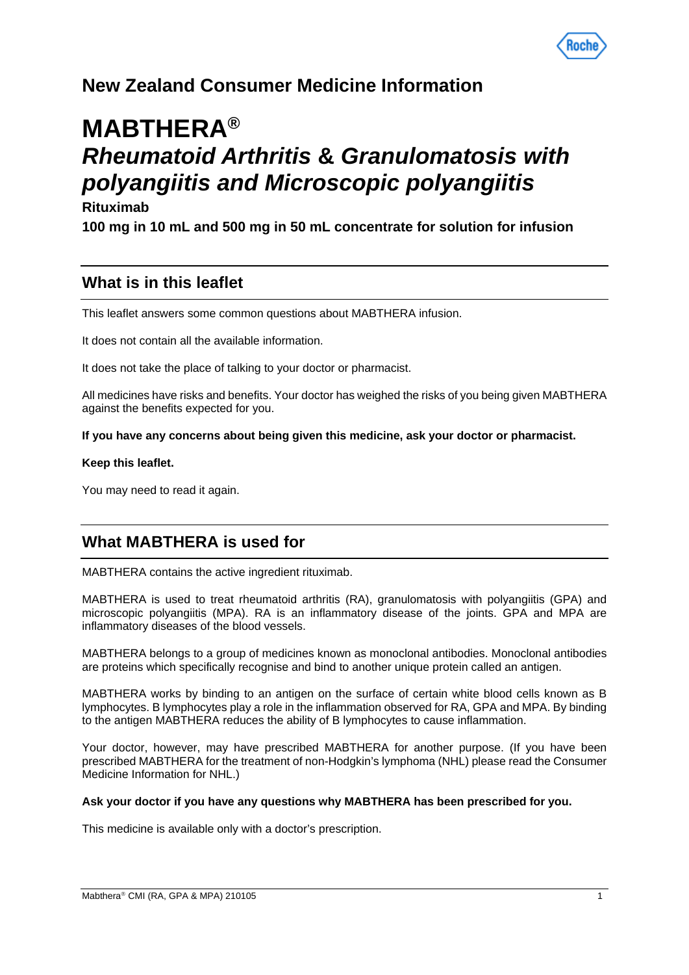

# **New Zealand Consumer Medicine Information**

# **MABTHERA®** *Rheumatoid Arthritis* **&** *Granulomatosis with polyangiitis and Microscopic polyangiitis*

# **Rituximab**

**100 mg in 10 mL and 500 mg in 50 mL concentrate for solution for infusion**

# **What is in this leaflet**

This leaflet answers some common questions about MABTHERA infusion.

It does not contain all the available information.

It does not take the place of talking to your doctor or pharmacist.

All medicines have risks and benefits. Your doctor has weighed the risks of you being given MABTHERA against the benefits expected for you.

**If you have any concerns about being given this medicine, ask your doctor or pharmacist.**

#### **Keep this leaflet.**

You may need to read it again.

# **What MABTHERA is used for**

MABTHERA contains the active ingredient rituximab.

MABTHERA is used to treat rheumatoid arthritis (RA), granulomatosis with polyangiitis (GPA) and microscopic polyangiitis (MPA). RA is an inflammatory disease of the joints. GPA and MPA are inflammatory diseases of the blood vessels.

MABTHERA belongs to a group of medicines known as monoclonal antibodies. Monoclonal antibodies are proteins which specifically recognise and bind to another unique protein called an antigen.

MABTHERA works by binding to an antigen on the surface of certain white blood cells known as B lymphocytes. B lymphocytes play a role in the inflammation observed for RA, GPA and MPA. By binding to the antigen MABTHERA reduces the ability of B lymphocytes to cause inflammation.

Your doctor, however, may have prescribed MABTHERA for another purpose. (If you have been prescribed MABTHERA for the treatment of non-Hodgkin's lymphoma (NHL) please read the Consumer Medicine Information for NHL.)

#### **Ask your doctor if you have any questions why MABTHERA has been prescribed for you.**

This medicine is available only with a doctor's prescription.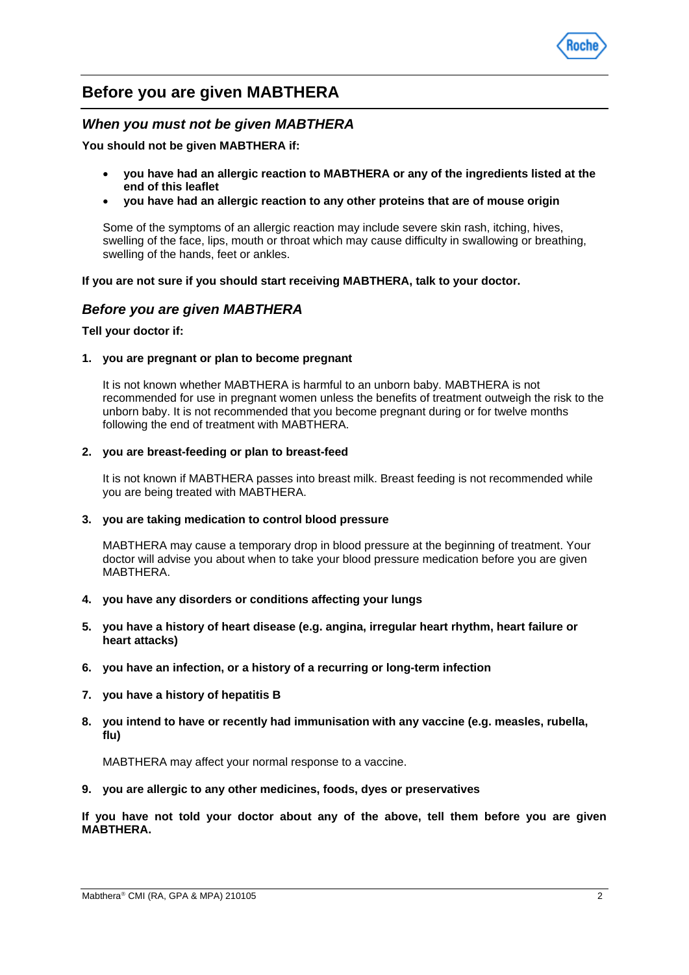

# **Before you are given MABTHERA**

### *When you must not be given MABTHERA*

**You should not be given MABTHERA if:**

- **you have had an allergic reaction to MABTHERA or any of the ingredients listed at the end of this leaflet**
- **you have had an allergic reaction to any other proteins that are of mouse origin**

Some of the symptoms of an allergic reaction may include severe skin rash, itching, hives, swelling of the face, lips, mouth or throat which may cause difficulty in swallowing or breathing, swelling of the hands, feet or ankles.

**If you are not sure if you should start receiving MABTHERA, talk to your doctor.**

## *Before you are given MABTHERA*

#### **Tell your doctor if:**

#### **1. you are pregnant or plan to become pregnant**

It is not known whether MABTHERA is harmful to an unborn baby. MABTHERA is not recommended for use in pregnant women unless the benefits of treatment outweigh the risk to the unborn baby. It is not recommended that you become pregnant during or for twelve months following the end of treatment with MABTHERA.

#### **2. you are breast-feeding or plan to breast-feed**

It is not known if MABTHERA passes into breast milk. Breast feeding is not recommended while you are being treated with MABTHERA.

#### **3. you are taking medication to control blood pressure**

MABTHERA may cause a temporary drop in blood pressure at the beginning of treatment. Your doctor will advise you about when to take your blood pressure medication before you are given MABTHERA.

- **4. you have any disorders or conditions affecting your lungs**
- **5. you have a history of heart disease (e.g. angina, irregular heart rhythm, heart failure or heart attacks)**
- **6. you have an infection, or a history of a recurring or long-term infection**
- **7. you have a history of hepatitis B**
- **8. you intend to have or recently had immunisation with any vaccine (e.g. measles, rubella, flu)**

MABTHERA may affect your normal response to a vaccine.

**9. you are allergic to any other medicines, foods, dyes or preservatives**

**If you have not told your doctor about any of the above, tell them before you are given MABTHERA.**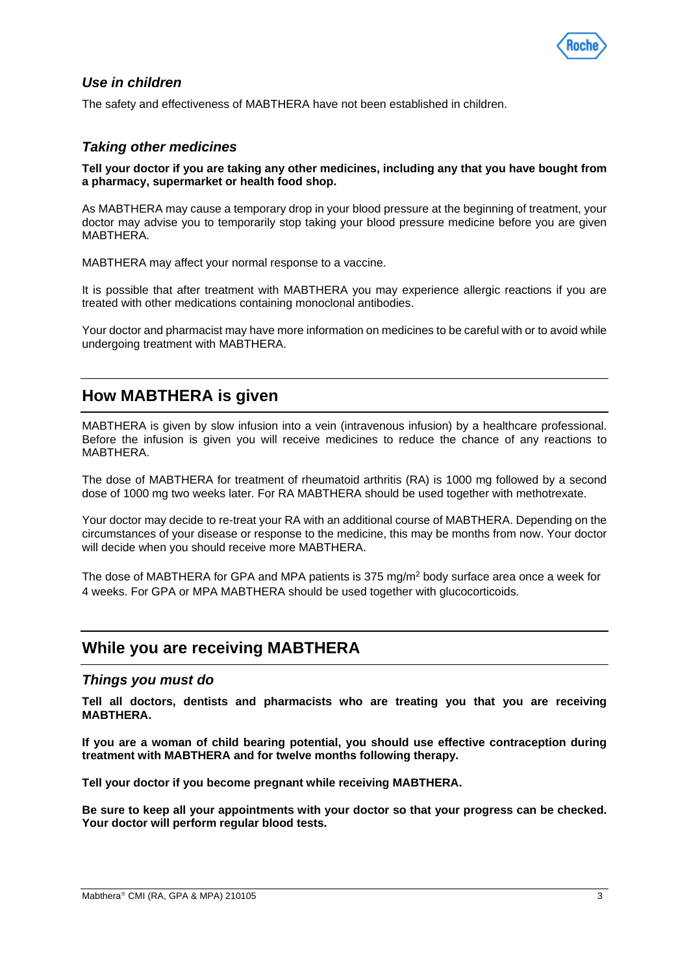

# *Use in children*

The safety and effectiveness of MABTHERA have not been established in children.

# *Taking other medicines*

**Tell your doctor if you are taking any other medicines, including any that you have bought from a pharmacy, supermarket or health food shop.** 

As MABTHERA may cause a temporary drop in your blood pressure at the beginning of treatment, your doctor may advise you to temporarily stop taking your blood pressure medicine before you are given MABTHERA.

MABTHERA may affect your normal response to a vaccine.

It is possible that after treatment with MABTHERA you may experience allergic reactions if you are treated with other medications containing monoclonal antibodies.

Your doctor and pharmacist may have more information on medicines to be careful with or to avoid while undergoing treatment with MABTHERA.

# **How MABTHERA is given**

MABTHERA is given by slow infusion into a vein (intravenous infusion) by a healthcare professional. Before the infusion is given you will receive medicines to reduce the chance of any reactions to MABTHERA.

The dose of MABTHERA for treatment of rheumatoid arthritis (RA) is 1000 mg followed by a second dose of 1000 mg two weeks later. For RA MABTHERA should be used together with methotrexate.

Your doctor may decide to re-treat your RA with an additional course of MABTHERA. Depending on the circumstances of your disease or response to the medicine, this may be months from now. Your doctor will decide when you should receive more MABTHERA.

The dose of MABTHERA for GPA and MPA patients is 375 mg/m2 body surface area once a week for 4 weeks. For GPA or MPA MABTHERA should be used together with glucocorticoids.

# **While you are receiving MABTHERA**

#### *Things you must do*

**Tell all doctors, dentists and pharmacists who are treating you that you are receiving MABTHERA.**

**If you are a woman of child bearing potential, you should use effective contraception during treatment with MABTHERA and for twelve months following therapy.** 

**Tell your doctor if you become pregnant while receiving MABTHERA.**

**Be sure to keep all your appointments with your doctor so that your progress can be checked. Your doctor will perform regular blood tests.**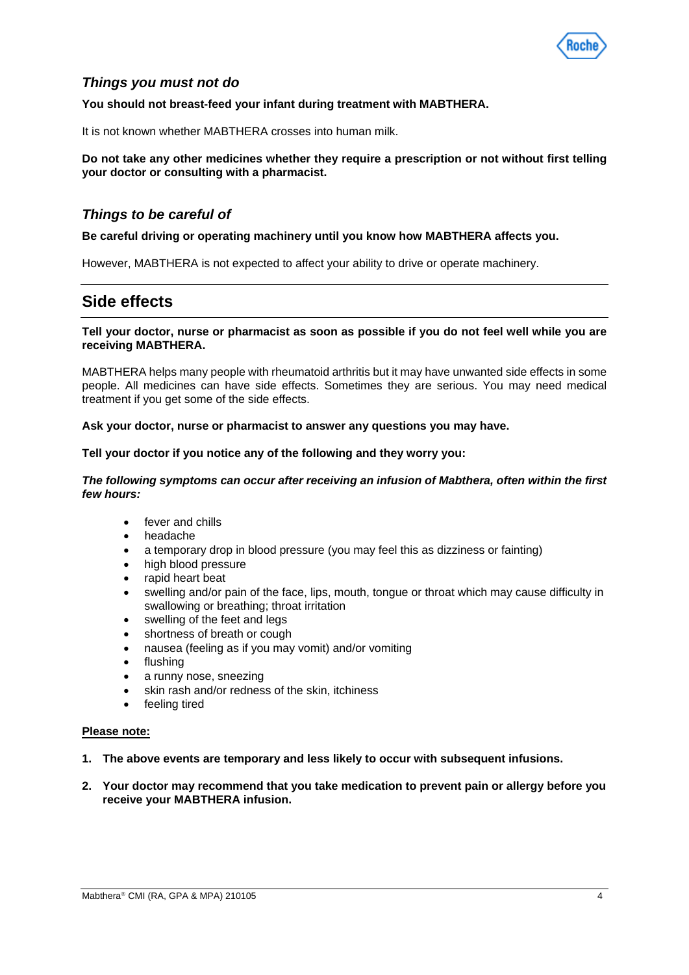

# *Things you must not do*

#### **You should not breast-feed your infant during treatment with MABTHERA.**

It is not known whether MABTHERA crosses into human milk.

#### **Do not take any other medicines whether they require a prescription or not without first telling your doctor or consulting with a pharmacist.**

### *Things to be careful of*

#### **Be careful driving or operating machinery until you know how MABTHERA affects you.**

However, MABTHERA is not expected to affect your ability to drive or operate machinery.

# **Side effects**

#### **Tell your doctor, nurse or pharmacist as soon as possible if you do not feel well while you are receiving MABTHERA.**

MABTHERA helps many people with rheumatoid arthritis but it may have unwanted side effects in some people. All medicines can have side effects. Sometimes they are serious. You may need medical treatment if you get some of the side effects.

#### **Ask your doctor, nurse or pharmacist to answer any questions you may have.**

#### **Tell your doctor if you notice any of the following and they worry you:**

#### *The following symptoms can occur after receiving an infusion of Mabthera, often within the first few hours:*

- fever and chills
- headache
- a temporary drop in blood pressure (you may feel this as dizziness or fainting)
- high blood pressure
- rapid heart beat
- swelling and/or pain of the face, lips, mouth, tongue or throat which may cause difficulty in swallowing or breathing; throat irritation
- swelling of the feet and legs
- shortness of breath or cough
- nausea (feeling as if you may vomit) and/or vomiting
- flushing
- a runny nose, sneezing
- skin rash and/or redness of the skin, itchiness
- feeling tired

#### **Please note:**

- **1. The above events are temporary and less likely to occur with subsequent infusions.**
- **2. Your doctor may recommend that you take medication to prevent pain or allergy before you receive your MABTHERA infusion.**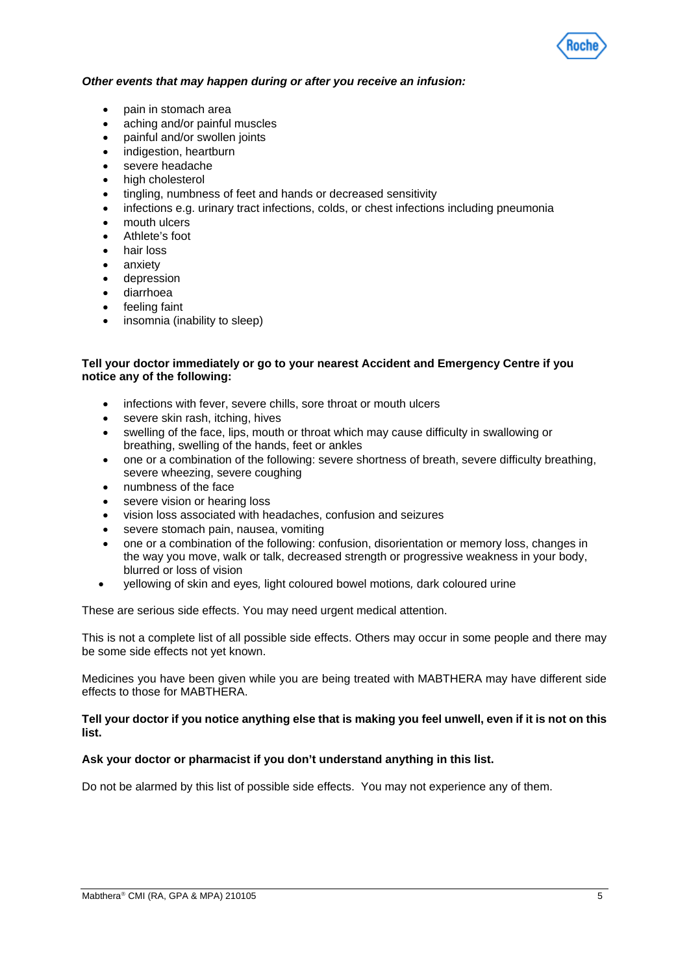

#### *Other events that may happen during or after you receive an infusion:*

- pain in stomach area
- aching and/or painful muscles
- painful and/or swollen joints
- indigestion, heartburn
- severe headache
- high cholesterol
- tingling, numbness of feet and hands or decreased sensitivity
- infections e.g. urinary tract infections, colds, or chest infections including pneumonia
- mouth ulcers
- Athlete's foot
- hair loss
- anxiety
- depression
- diarrhoea
- feeling faint
- insomnia (inability to sleep)

#### **Tell your doctor immediately or go to your nearest Accident and Emergency Centre if you notice any of the following:**

- infections with fever, severe chills, sore throat or mouth ulcers
- severe skin rash, itching, hives
- swelling of the face, lips, mouth or throat which may cause difficulty in swallowing or breathing, swelling of the hands, feet or ankles
- one or a combination of the following: severe shortness of breath, severe difficulty breathing, severe wheezing, severe coughing
- numbness of the face
- severe vision or hearing loss
- vision loss associated with headaches, confusion and seizures
- severe stomach pain, nausea, vomiting
- one or a combination of the following: confusion, disorientation or memory loss, changes in the way you move, walk or talk, decreased strength or progressive weakness in your body, blurred or loss of vision
- yellowing of skin and eyes*,* light coloured bowel motions*,* dark coloured urine

These are serious side effects. You may need urgent medical attention.

This is not a complete list of all possible side effects. Others may occur in some people and there may be some side effects not yet known.

Medicines you have been given while you are being treated with MABTHERA may have different side effects to those for MABTHERA.

#### **Tell your doctor if you notice anything else that is making you feel unwell, even if it is not on this list.**

#### **Ask your doctor or pharmacist if you don't understand anything in this list.**

Do not be alarmed by this list of possible side effects. You may not experience any of them.